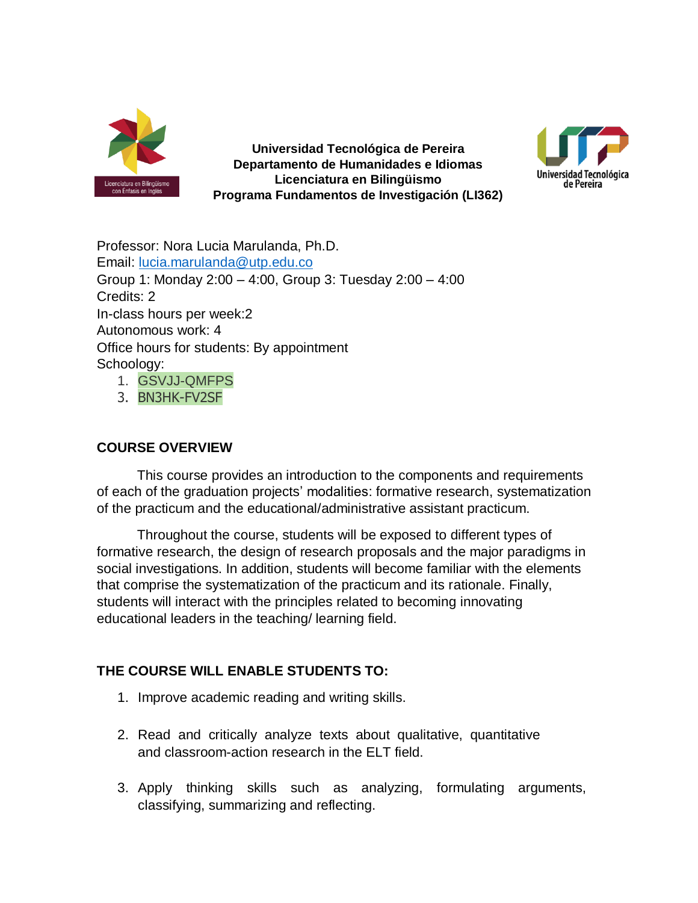

**Universidad Tecnológica de Pereira Departamento de Humanidades e Idiomas Licenciatura en Bilingüismo Programa Fundamentos de Investigación (LI362)**



Professor: Nora Lucia Marulanda, Ph.D. Email: [lucia.marulanda@utp.edu.co](mailto:lucia.marulanda@utp.edu.co) Group 1: Monday 2:00 – 4:00, Group 3: Tuesday 2:00 – 4:00 Credits: 2 In-class hours per week:2 Autonomous work: 4 Office hours for students: By appointment Schoology: 1. GSVJJ-QMFPS

3. BN3HK-FV2SF

# **COURSE OVERVIEW**

This course provides an introduction to the components and requirements of each of the graduation projects' modalities: formative research, systematization of the practicum and the educational/administrative assistant practicum.

Throughout the course, students will be exposed to different types of formative research, the design of research proposals and the major paradigms in social investigations. In addition, students will become familiar with the elements that comprise the systematization of the practicum and its rationale. Finally, students will interact with the principles related to becoming innovating educational leaders in the teaching/ learning field.

# **THE COURSE WILL ENABLE STUDENTS TO:**

- 1. Improve academic reading and writing skills.
- 2. Read and critically analyze texts about qualitative, quantitative and classroom-action research in the ELT field.
- 3. Apply thinking skills such as analyzing, formulating arguments, classifying, summarizing and reflecting.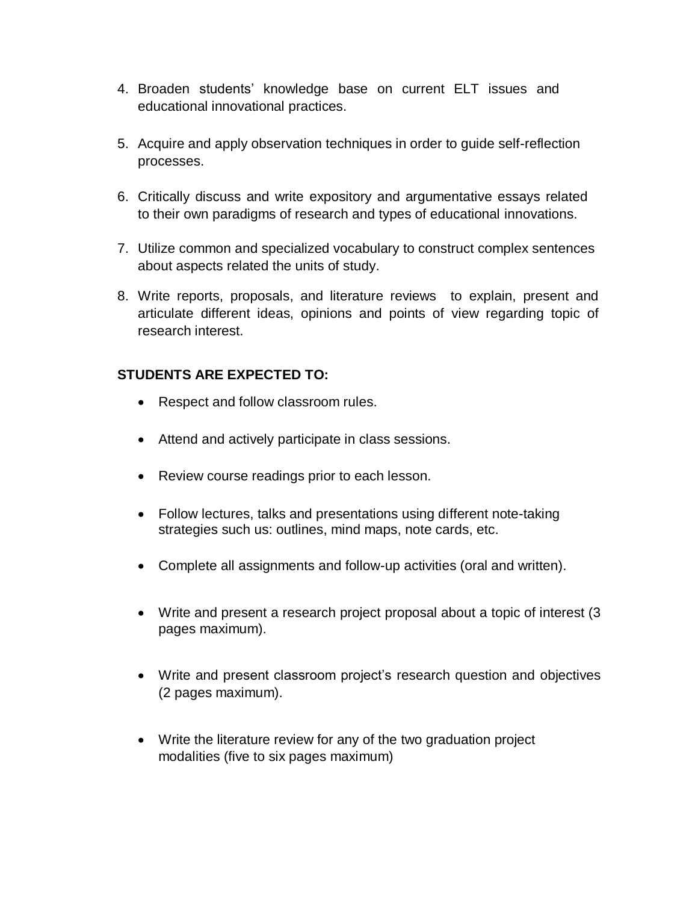- 4. Broaden students' knowledge base on current ELT issues and educational innovational practices.
- 5. Acquire and apply observation techniques in order to guide self-reflection processes.
- 6. Critically discuss and write expository and argumentative essays related to their own paradigms of research and types of educational innovations.
- 7. Utilize common and specialized vocabulary to construct complex sentences about aspects related the units of study.
- 8. Write reports, proposals, and literature reviews to explain, present and articulate different ideas, opinions and points of view regarding topic of research interest.

# **STUDENTS ARE EXPECTED TO:**

- Respect and follow classroom rules.
- Attend and actively participate in class sessions.
- Review course readings prior to each lesson.
- Follow lectures, talks and presentations using different note-taking strategies such us: outlines, mind maps, note cards, etc.
- Complete all assignments and follow-up activities (oral and written).
- Write and present a research project proposal about a topic of interest (3 pages maximum).
- Write and present classroom project's research question and objectives (2 pages maximum).
- Write the literature review for any of the two graduation project modalities (five to six pages maximum)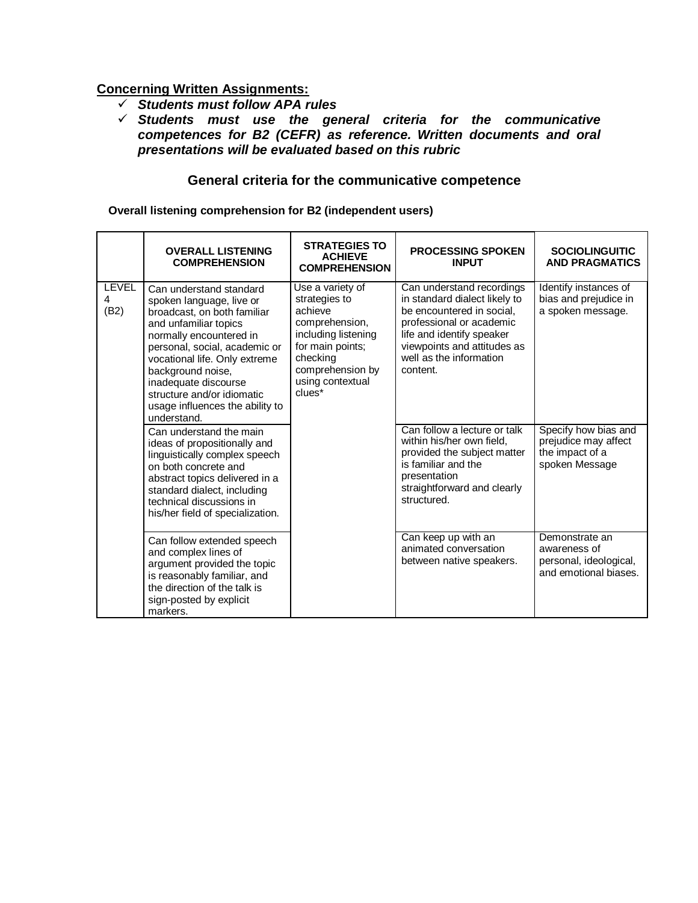### **Concerning Written Assignments:**

- *Students must follow APA rules*
- *Students must use the general criteria for the communicative competences for B2 (CEFR) as reference. Written documents and oral presentations will be evaluated based on this rubric*

### **General criteria for the communicative competence**

**Overall listening comprehension for B2 (independent users)**

|                           | <b>OVERALL LISTENING</b><br><b>COMPREHENSION</b>                                                                                                                                                                                                                                                                                      | <b>STRATEGIES TO</b><br><b>ACHIEVE</b><br><b>COMPREHENSION</b>                                                                                                          | <b>PROCESSING SPOKEN</b><br><b>INPUT</b>                                                                                                                                                                               | <b>SOCIOLINGUITIC</b><br><b>AND PRAGMATICS</b>                                    |
|---------------------------|---------------------------------------------------------------------------------------------------------------------------------------------------------------------------------------------------------------------------------------------------------------------------------------------------------------------------------------|-------------------------------------------------------------------------------------------------------------------------------------------------------------------------|------------------------------------------------------------------------------------------------------------------------------------------------------------------------------------------------------------------------|-----------------------------------------------------------------------------------|
| <b>LEVEL</b><br>4<br>(B2) | Can understand standard<br>spoken language, live or<br>broadcast, on both familiar<br>and unfamiliar topics<br>normally encountered in<br>personal, social, academic or<br>vocational life. Only extreme<br>background noise,<br>inadequate discourse<br>structure and/or idiomatic<br>usage influences the ability to<br>understand. | Use a variety of<br>strategies to<br>achieve<br>comprehension,<br>including listening<br>for main points;<br>checking<br>comprehension by<br>using contextual<br>clues* | Can understand recordings<br>in standard dialect likely to<br>be encountered in social.<br>professional or academic<br>life and identify speaker<br>viewpoints and attitudes as<br>well as the information<br>content. | Identify instances of<br>bias and prejudice in<br>a spoken message.               |
|                           | Can understand the main<br>ideas of propositionally and<br>linguistically complex speech<br>on both concrete and<br>abstract topics delivered in a<br>standard dialect, including<br>technical discussions in<br>his/her field of specialization.                                                                                     |                                                                                                                                                                         | Can follow a lecture or talk<br>within his/her own field,<br>provided the subject matter<br>is familiar and the<br>presentation<br>straightforward and clearly<br>structured.                                          | Specify how bias and<br>prejudice may affect<br>the impact of a<br>spoken Message |
|                           | Can follow extended speech<br>and complex lines of<br>argument provided the topic<br>is reasonably familiar, and<br>the direction of the talk is<br>sign-posted by explicit<br>markers.                                                                                                                                               |                                                                                                                                                                         | Can keep up with an<br>animated conversation<br>between native speakers.                                                                                                                                               | Demonstrate an<br>awareness of<br>personal, ideological,<br>and emotional biases. |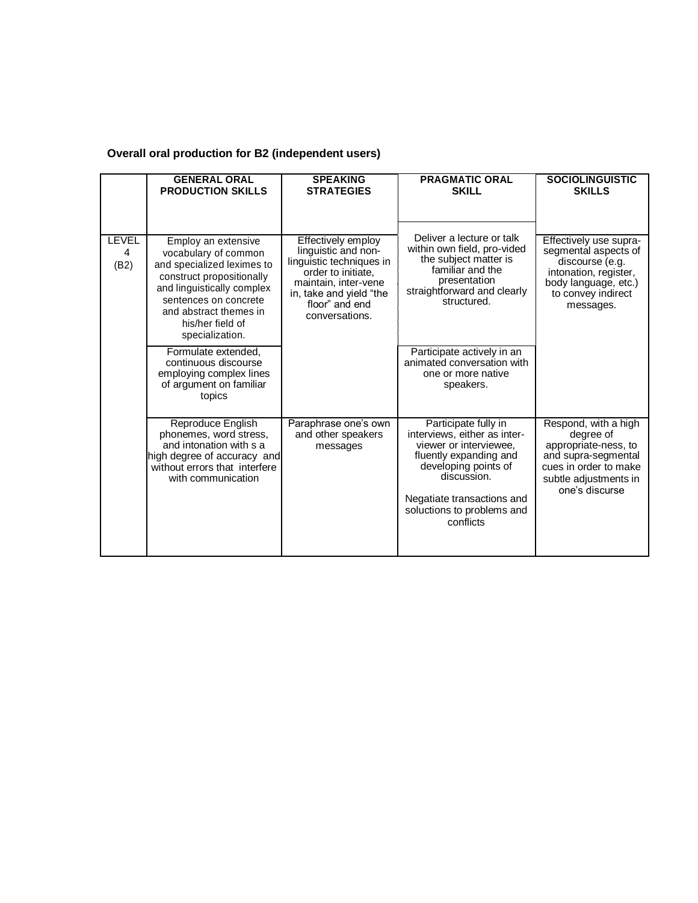# **Overall oral production for B2 (independent users)**

|                           | <b>GENERAL ORAL</b><br><b>PRODUCTION SKILLS</b>                                                                                                                                                                                | <b>SPEAKING</b><br><b>STRATEGIES</b>                                                                                                                                               | <b>PRAGMATIC ORAL</b><br><b>SKILL</b>                                                                                                                                                                                    | <b>SOCIOLINGUISTIC</b><br><b>SKILLS</b>                                                                                                               |  |
|---------------------------|--------------------------------------------------------------------------------------------------------------------------------------------------------------------------------------------------------------------------------|------------------------------------------------------------------------------------------------------------------------------------------------------------------------------------|--------------------------------------------------------------------------------------------------------------------------------------------------------------------------------------------------------------------------|-------------------------------------------------------------------------------------------------------------------------------------------------------|--|
| <b>LEVEL</b><br>4<br>(B2) | Employ an extensive<br>vocabulary of common<br>and specialized leximes to<br>construct propositionally<br>and linguistically complex<br>sentences on concrete<br>and abstract themes in<br>his/her field of<br>specialization. | Effectively employ<br>linguistic and non-<br>linguistic techniques in<br>order to initiate.<br>maintain, inter-vene<br>in, take and yield "the<br>floor" and end<br>conversations. | Deliver a lecture or talk<br>within own field, pro-vided<br>the subject matter is<br>familiar and the<br>presentation<br>straightforward and clearly<br>structured.                                                      | Effectively use supra-<br>segmental aspects of<br>discourse (e.g.<br>intonation, register,<br>body language, etc.)<br>to convey indirect<br>messages. |  |
|                           | Formulate extended,<br>continuous discourse<br>employing complex lines<br>of argument on familiar<br>topics                                                                                                                    |                                                                                                                                                                                    | Participate actively in an<br>animated conversation with<br>one or more native<br>speakers.                                                                                                                              |                                                                                                                                                       |  |
|                           | Reproduce English<br>phonemes, word stress,<br>and intonation with s a<br>high degree of accuracy and<br>without errors that interfere<br>with communication                                                                   | Paraphrase one's own<br>and other speakers<br>messages                                                                                                                             | Participate fully in<br>interviews, either as inter-<br>viewer or interviewee,<br>fluently expanding and<br>developing points of<br>discussion.<br>Negatiate transactions and<br>soluctions to problems and<br>conflicts | Respond, with a high<br>degree of<br>appropriate-ness, to<br>and supra-segmental<br>cues in order to make<br>subtle adjustments in<br>one's discurse  |  |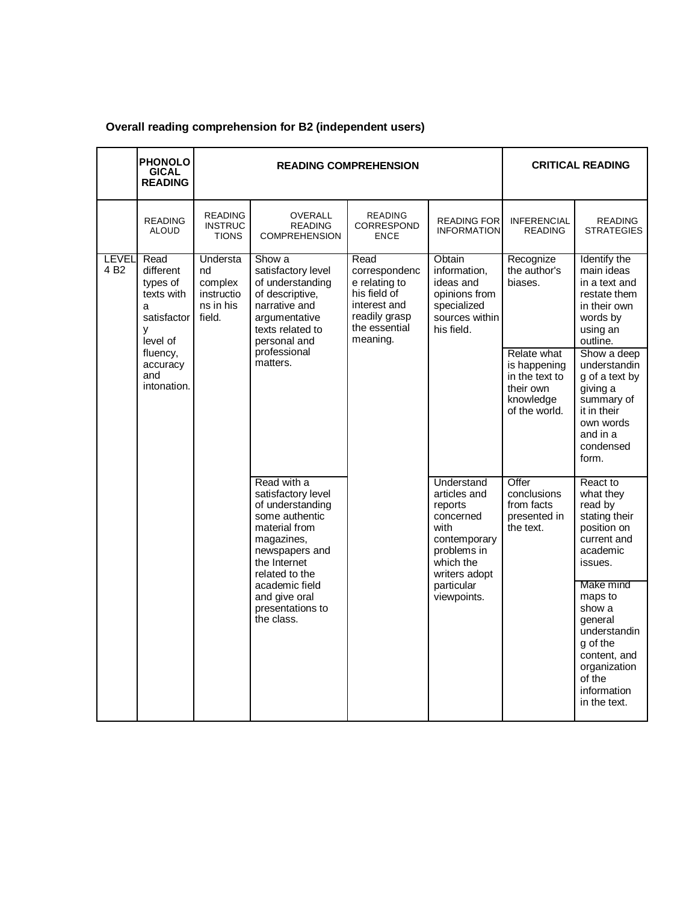|                                 | <b>PHONOLO</b><br><b>GICAL</b><br><b>READING</b>                                 |                                                                       | <b>READING COMPREHENSION</b>                                                                                                                               | <b>CRITICAL READING</b>                                                                                              |                                                                                                                         |                                                                                                                                       |                                                                                                                                                |
|---------------------------------|----------------------------------------------------------------------------------|-----------------------------------------------------------------------|------------------------------------------------------------------------------------------------------------------------------------------------------------|----------------------------------------------------------------------------------------------------------------------|-------------------------------------------------------------------------------------------------------------------------|---------------------------------------------------------------------------------------------------------------------------------------|------------------------------------------------------------------------------------------------------------------------------------------------|
|                                 | <b>READING</b><br><b>ALOUD</b>                                                   | <b>READING</b><br><b>INSTRUC</b><br><b>TIONS</b>                      | OVERALL<br><b>READING</b><br><b>COMPREHENSION</b>                                                                                                          | <b>READING</b><br>CORRESPOND<br><b>ENCE</b>                                                                          | <b>READING FOR</b><br><b>INFORMATION</b>                                                                                | <b>INFERENCIAL</b><br><b>READING</b>                                                                                                  | <b>READING</b><br><b>STRATEGIES</b>                                                                                                            |
| <b>LEVEL</b><br>4 <sub>B2</sub> | Read<br>different<br>types of<br>texts with<br>a<br>satisfactor<br>y<br>level of | <b>Understa</b><br>nd<br>complex<br>instructio<br>ns in his<br>field. | Show a<br>satisfactory level<br>of understanding<br>of descriptive,<br>narrative and<br>argumentative<br>texts related to<br>personal and                  | Read<br>correspondenc<br>e relating to<br>his field of<br>interest and<br>readily grasp<br>the essential<br>meaning. | Obtain<br>information,<br>ideas and<br>opinions from<br>specialized<br>sources within<br>his field.                     | Recognize<br>the author's<br>biases.                                                                                                  | Identify the<br>main ideas<br>in a text and<br>restate them<br>in their own<br>words by<br>using an<br>outline.                                |
|                                 | professional<br>fluency,<br>matters.<br>accuracy<br>and<br>intonation.           |                                                                       |                                                                                                                                                            |                                                                                                                      | Relate what<br>is happening<br>in the text to<br>their own<br>knowledge<br>of the world.                                | Show a deep<br>understandin<br>g of a text by<br>giving a<br>summary of<br>it in their<br>own words<br>and in a<br>condensed<br>form. |                                                                                                                                                |
|                                 |                                                                                  |                                                                       | Read with a<br>satisfactory level<br>of understanding<br>some authentic<br>material from<br>magazines,<br>newspapers and<br>the Internet<br>related to the |                                                                                                                      | Understand<br>articles and<br>reports<br>concerned<br>with<br>contemporary<br>problems in<br>which the<br>writers adopt | Offer<br>conclusions<br>from facts<br>presented in<br>the text.                                                                       | React to<br>what they<br>read by<br>stating their<br>position on<br>current and<br>academic<br>issues.                                         |
|                                 |                                                                                  |                                                                       | academic field<br>and give oral<br>presentations to<br>the class.                                                                                          |                                                                                                                      | particular<br>viewpoints.                                                                                               |                                                                                                                                       | Make mind<br>maps to<br>show a<br>general<br>understandin<br>q of the<br>content, and<br>organization<br>of the<br>information<br>in the text. |

# **Overall reading comprehension for B2 (independent users)**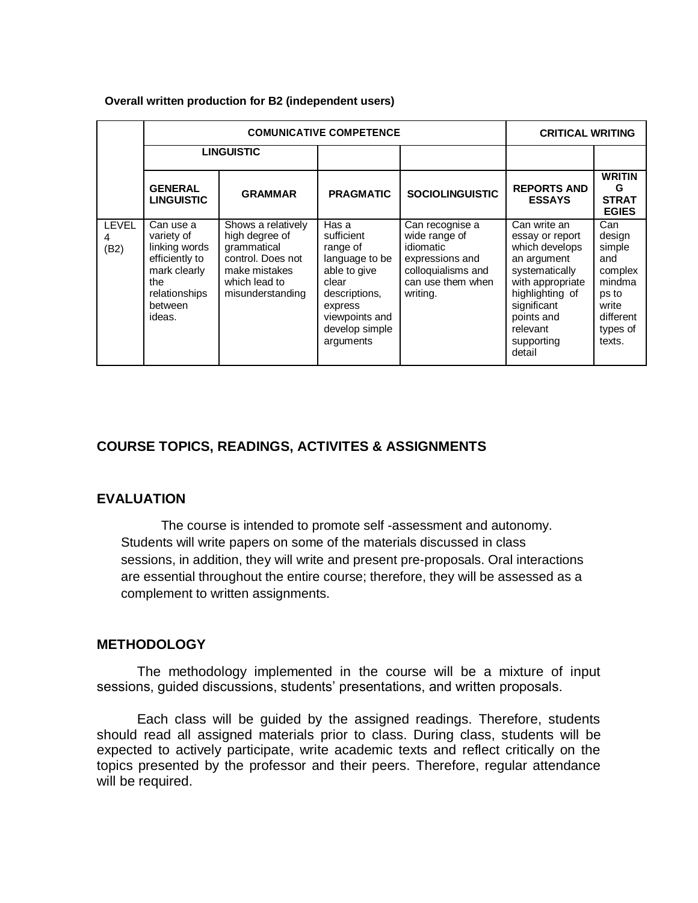#### **Overall written production for B2 (independent users)**

|                      |                                                                                                                         | <b>COMUNICATIVE COMPETENCE</b>                                                                                                 | <b>CRITICAL WRITING</b>                                                                                                                                 |                                                                                                                         |                                                                                                                                                                                            |                                                                                                          |
|----------------------|-------------------------------------------------------------------------------------------------------------------------|--------------------------------------------------------------------------------------------------------------------------------|---------------------------------------------------------------------------------------------------------------------------------------------------------|-------------------------------------------------------------------------------------------------------------------------|--------------------------------------------------------------------------------------------------------------------------------------------------------------------------------------------|----------------------------------------------------------------------------------------------------------|
|                      |                                                                                                                         | <b>LINGUISTIC</b>                                                                                                              |                                                                                                                                                         |                                                                                                                         |                                                                                                                                                                                            |                                                                                                          |
|                      | <b>GENERAL</b><br><b>LINGUISTIC</b>                                                                                     | <b>GRAMMAR</b>                                                                                                                 | <b>PRAGMATIC</b>                                                                                                                                        | <b>SOCIOLINGUISTIC</b>                                                                                                  | <b>REPORTS AND</b><br><b>ESSAYS</b>                                                                                                                                                        | <b>WRITIN</b><br>G<br><b>STRAT</b><br><b>EGIES</b>                                                       |
| <b>LEVEL</b><br>(B2) | Can use a<br>variety of<br>linking words<br>efficiently to<br>mark clearly<br>the<br>relationships<br>between<br>ideas. | Shows a relatively<br>high degree of<br>grammatical<br>control. Does not<br>make mistakes<br>which lead to<br>misunderstanding | Has a<br>sufficient<br>range of<br>language to be<br>able to give<br>clear<br>descriptions,<br>express<br>viewpoints and<br>develop simple<br>arguments | Can recognise a<br>wide range of<br>idiomatic<br>expressions and<br>colloquialisms and<br>can use them when<br>writing. | Can write an<br>essay or report<br>which develops<br>an argument<br>systematically<br>with appropriate<br>highlighting of<br>significant<br>points and<br>relevant<br>supporting<br>detail | Can<br>design<br>simple<br>and<br>complex<br>mindma<br>ps to<br>write<br>different<br>types of<br>texts. |

# **COURSE TOPICS, READINGS, ACTIVITES & ASSIGNMENTS**

#### **EVALUATION**

The course is intended to promote self -assessment and autonomy. Students will write papers on some of the materials discussed in class sessions, in addition, they will write and present pre-proposals. Oral interactions are essential throughout the entire course; therefore, they will be assessed as a complement to written assignments.

### **METHODOLOGY**

The methodology implemented in the course will be a mixture of input sessions, guided discussions, students' presentations, and written proposals.

Each class will be guided by the assigned readings. Therefore, students should read all assigned materials prior to class. During class, students will be expected to actively participate, write academic texts and reflect critically on the topics presented by the professor and their peers. Therefore, regular attendance will be required.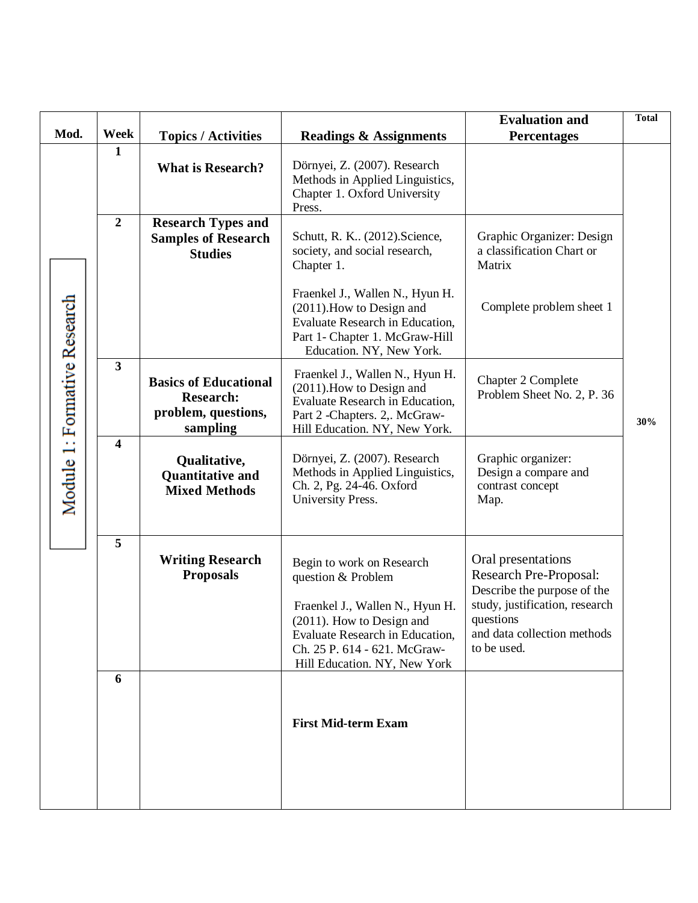| Mod.                  | Week                    | <b>Topics / Activities</b>                                                          | <b>Readings &amp; Assignments</b>                                                                                                                                                                                  | <b>Evaluation and</b><br><b>Percentages</b>                                                                                                                              | <b>Total</b> |
|-----------------------|-------------------------|-------------------------------------------------------------------------------------|--------------------------------------------------------------------------------------------------------------------------------------------------------------------------------------------------------------------|--------------------------------------------------------------------------------------------------------------------------------------------------------------------------|--------------|
|                       | 1                       | <b>What is Research?</b>                                                            | Dörnyei, Z. (2007). Research<br>Methods in Applied Linguistics,<br>Chapter 1. Oxford University<br>Press.                                                                                                          |                                                                                                                                                                          |              |
|                       | $\overline{2}$          | <b>Research Types and</b><br><b>Samples of Research</b><br><b>Studies</b>           | Schutt, R. K (2012). Science,<br>society, and social research,<br>Chapter 1.                                                                                                                                       | Graphic Organizer: Design<br>a classification Chart or<br>Matrix                                                                                                         |              |
|                       |                         |                                                                                     | Fraenkel J., Wallen N., Hyun H.<br>(2011). How to Design and<br><b>Evaluate Research in Education,</b><br>Part 1- Chapter 1. McGraw-Hill<br>Education. NY, New York.                                               | Complete problem sheet 1                                                                                                                                                 |              |
| 1: Formative Research | $\overline{\mathbf{3}}$ | <b>Basics of Educational</b><br><b>Research:</b><br>problem, questions,<br>sampling | Fraenkel J., Wallen N., Hyun H.<br>$(2011)$ . How to Design and<br><b>Evaluate Research in Education,</b><br>Part 2 - Chapters. 2,. McGraw-<br>Hill Education. NY, New York.                                       | Chapter 2 Complete<br>Problem Sheet No. 2, P. 36                                                                                                                         | 30%          |
| Module                | $\overline{\mathbf{4}}$ | Qualitative,<br><b>Quantitative and</b><br><b>Mixed Methods</b>                     | Dörnyei, Z. (2007). Research<br>Methods in Applied Linguistics,<br>Ch. 2, Pg. 24-46. Oxford<br>University Press.                                                                                                   | Graphic organizer:<br>Design a compare and<br>contrast concept<br>Map.                                                                                                   |              |
|                       | 5                       | <b>Writing Research</b><br><b>Proposals</b>                                         | Begin to work on Research<br>question & Problem<br>Fraenkel J., Wallen N., Hyun H.<br>(2011). How to Design and<br>Evaluate Research in Education,<br>Ch. 25 P. 614 - 621. McGraw-<br>Hill Education. NY, New York | Oral presentations<br>Research Pre-Proposal:<br>Describe the purpose of the<br>study, justification, research<br>questions<br>and data collection methods<br>to be used. |              |
|                       | 6                       |                                                                                     | <b>First Mid-term Exam</b>                                                                                                                                                                                         |                                                                                                                                                                          |              |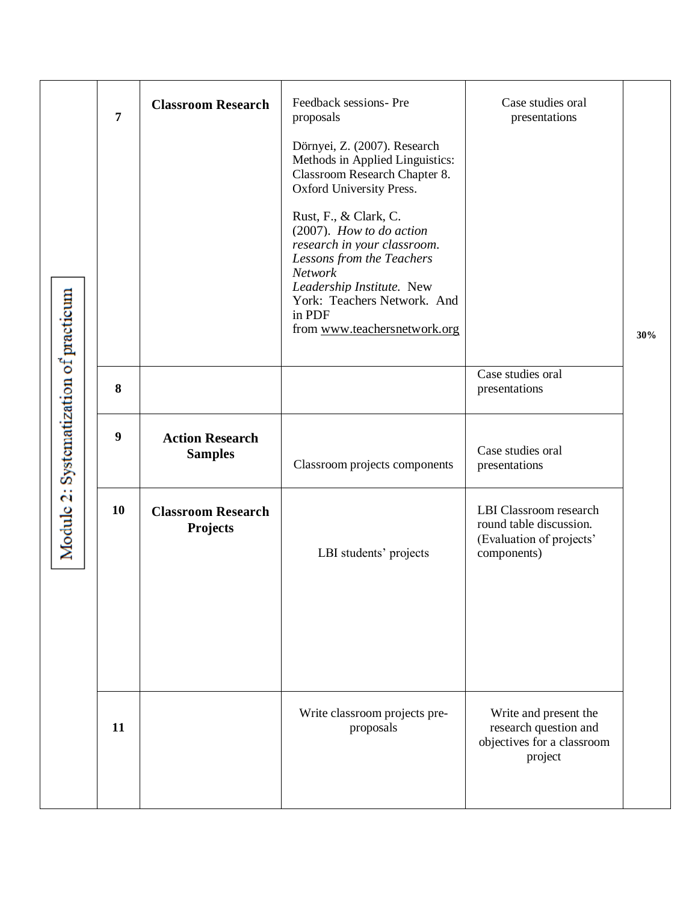| Systematization of practicum | $\overline{7}$   | <b>Classroom Research</b>                    | Feedback sessions- Pre<br>proposals<br>Dörnyei, Z. (2007). Research<br>Methods in Applied Linguistics:<br>Classroom Research Chapter 8.<br>Oxford University Press.<br>Rust, F., & Clark, C.<br>$(2007)$ . How to do action<br>research in your classroom.<br>Lessons from the Teachers<br><b>Network</b><br>Leadership Institute. New<br>York: Teachers Network. And<br>in PDF<br>from www.teachersnetwork.org | Case studies oral<br>presentations                                                           | 30% |
|------------------------------|------------------|----------------------------------------------|-----------------------------------------------------------------------------------------------------------------------------------------------------------------------------------------------------------------------------------------------------------------------------------------------------------------------------------------------------------------------------------------------------------------|----------------------------------------------------------------------------------------------|-----|
|                              | 8                |                                              |                                                                                                                                                                                                                                                                                                                                                                                                                 | Case studies oral<br>presentations                                                           |     |
|                              | $\boldsymbol{9}$ | <b>Action Research</b><br><b>Samples</b>     | Classroom projects components                                                                                                                                                                                                                                                                                                                                                                                   | Case studies oral<br>presentations                                                           |     |
| ä<br>Modulc                  | 10               | <b>Classroom Research</b><br><b>Projects</b> | LBI students' projects                                                                                                                                                                                                                                                                                                                                                                                          | LBI Classroom research<br>round table discussion.<br>(Evaluation of projects'<br>components) |     |
|                              | 11               |                                              | Write classroom projects pre-<br>proposals                                                                                                                                                                                                                                                                                                                                                                      | Write and present the<br>research question and<br>objectives for a classroom<br>project      |     |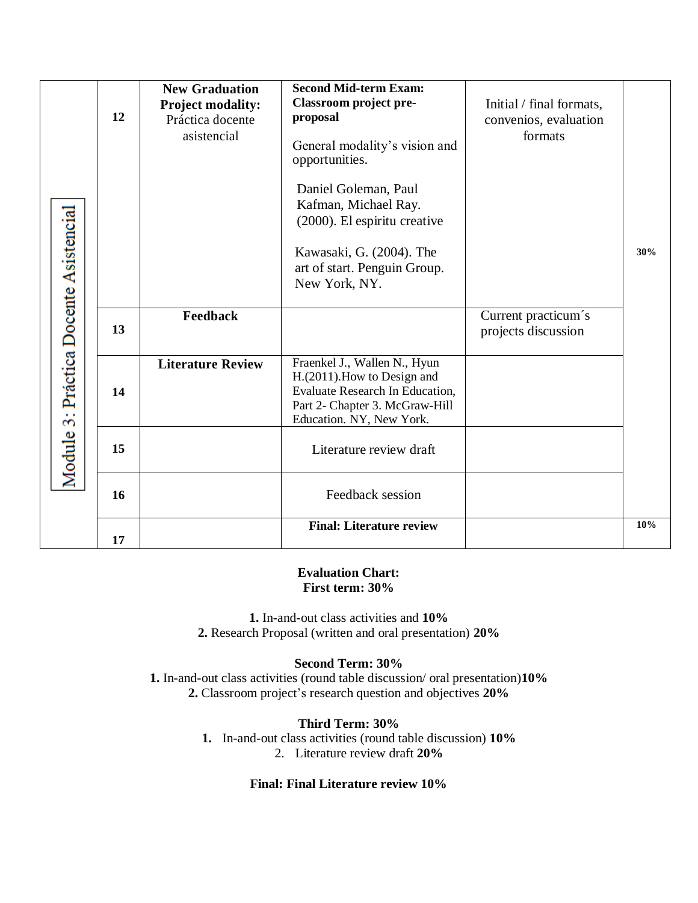| Práctica Docente Asistencial<br>$\frac{1}{2}$<br>Module | 12 | <b>New Graduation</b><br><b>Project modality:</b><br>Práctica docente<br>asistencial | <b>Second Mid-term Exam:</b><br>Classroom project pre-<br>proposal<br>General modality's vision and<br>opportunities.<br>Daniel Goleman, Paul<br>Kafman, Michael Ray.<br>(2000). El espiritu creative<br>Kawasaki, G. (2004). The<br>art of start. Penguin Group.<br>New York, NY. | Initial / final formats,<br>convenios, evaluation<br>formats | 30% |
|---------------------------------------------------------|----|--------------------------------------------------------------------------------------|------------------------------------------------------------------------------------------------------------------------------------------------------------------------------------------------------------------------------------------------------------------------------------|--------------------------------------------------------------|-----|
|                                                         | 13 | Feedback                                                                             |                                                                                                                                                                                                                                                                                    | Current practicum's<br>projects discussion                   |     |
|                                                         | 14 | <b>Literature Review</b>                                                             | Fraenkel J., Wallen N., Hyun<br>H.(2011). How to Design and<br><b>Evaluate Research In Education,</b><br>Part 2- Chapter 3. McGraw-Hill<br>Education. NY, New York.                                                                                                                |                                                              |     |
|                                                         | 15 |                                                                                      | Literature review draft                                                                                                                                                                                                                                                            |                                                              |     |
|                                                         | 16 |                                                                                      | Feedback session                                                                                                                                                                                                                                                                   |                                                              |     |
|                                                         | 17 |                                                                                      | <b>Final: Literature review</b>                                                                                                                                                                                                                                                    |                                                              | 10% |

#### **Evaluation Chart: First term: 30%**

**1.** In-and-out class activities and **10% 2.** Research Proposal (written and oral presentation) **20%**

### **Second Term: 30%**

**1.** In-and-out class activities (round table discussion/ oral presentation)**10% 2.** Classroom project's research question and objectives **20%**

#### **Third Term: 30%**

**1.** In-and-out class activities (round table discussion) **10%** 2. Literature review draft **20%**

#### **Final: Final Literature review 10%**